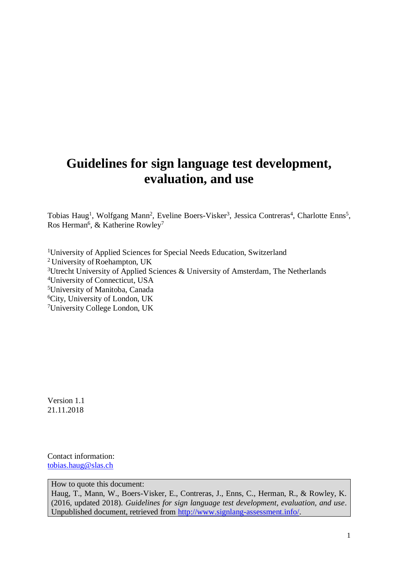# **Guidelines for sign language test development, evaluation, and use**

Tobias Haug<sup>1</sup>, Wolfgang Mann<sup>2</sup>, Eveline Boers-Visker<sup>3</sup>, Jessica Contreras<sup>4</sup>, Charlotte Enns<sup>5</sup>, Ros Herman<sup>6</sup>, & Katherine Rowley<sup>7</sup>

University of Applied Sciences for Special Needs Education, Switzerland <sup>2</sup> University of Roehampton, UK Utrecht University of Applied Sciences & University of Amsterdam, The Netherlands University of Connecticut, USA University of Manitoba, Canada City, University of London, UK University College London, UK

Version 1.1 21.11.2018

Contact information: [tobias.haug@slas.ch](mailto:tobias.haug@slas.ch)

How to quote this document:

Haug, T., Mann, W., Boers-Visker, E., Contreras, J., Enns, C., Herman, R., & Rowley, K. (2016, updated 2018). *Guidelines for sign language test development, evaluation, and use*. Unpublished document, retrieved from [http://www.signlang-assessment.info/.](http://www.signlang-assessment.info/)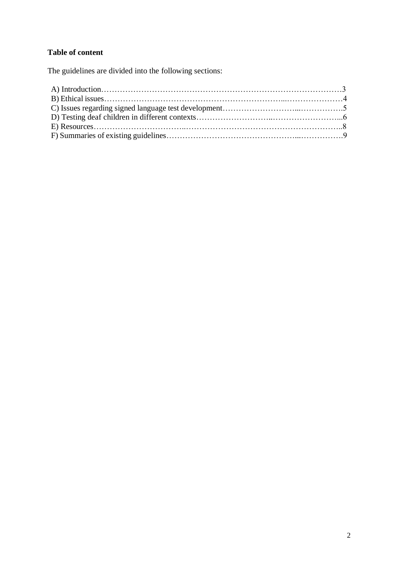# **Table of content**

The guidelines are divided into the following sections: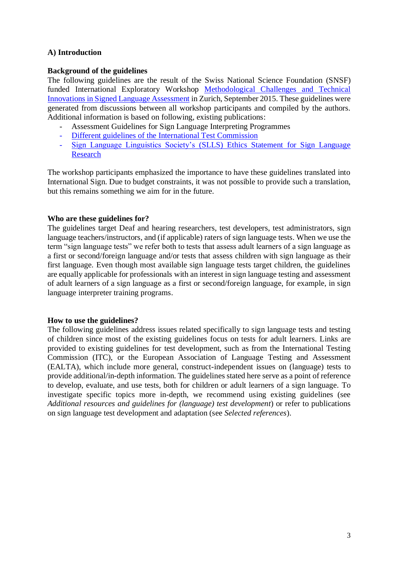## **A) Introduction**

#### **Background of the guidelines**

The following guidelines are the result of the Swiss National Science Foundation (SNSF) funded International Exploratory Workshop [Methodological Challenges and Technical](http://p3.snf.ch/project-157949)  [Innovations in Signed Language Assessment](http://p3.snf.ch/project-157949) in Zurich, September 2015. These guidelines were generated from discussions between all workshop participants and compiled by the authors. Additional information is based on following, existing publications:

- Assessment Guidelines for Sign Language Interpreting Programmes
- [Different guidelines of the International Test Commission](http://www.intestcom.org/page/5)
- [Sign Language Linguistics Society's](http://slls.eu/slls-ethics-statement/) (SLLS) Ethics Statement for Sign Language [Research](http://slls.eu/slls-ethics-statement/)

The workshop participants emphasized the importance to have these guidelines translated into International Sign. Due to budget constraints, it was not possible to provide such a translation, but this remains something we aim for in the future.

## **Who are these guidelines for?**

The guidelines target Deaf and hearing researchers, test developers, test administrators, sign language teachers/instructors, and (if applicable) raters of sign language tests. When we use the term "sign language tests" we refer both to tests that assess adult learners of a sign language as a first or second/foreign language and/or tests that assess children with sign language as their first language. Even though most available sign language tests target children, the guidelines are equally applicable for professionals with an interest in sign language testing and assessment of adult learners of a sign language as a first or second/foreign language, for example, in sign language interpreter training programs.

#### **How to use the guidelines?**

The following guidelines address issues related specifically to sign language tests and testing of children since most of the existing guidelines focus on tests for adult learners. Links are provided to existing guidelines for test development, such as from the International Testing Commission (ITC), or the European Association of Language Testing and Assessment (EALTA), which include more general, construct-independent issues on (language) tests to provide additional/in-depth information. The guidelines stated here serve as a point of reference to develop, evaluate, and use tests, both for children or adult learners of a sign language. To investigate specific topics more in-depth, we recommend using existing guidelines (see *Additional resources and guidelines for (language) test development*) or refer to publications on sign language test development and adaptation (see *Selected references*).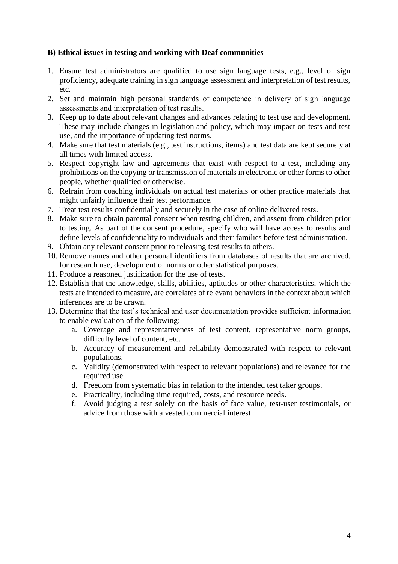## **B) Ethical issues in testing and working with Deaf communities**

- 1. Ensure test administrators are qualified to use sign language tests, e.g., level of sign proficiency, adequate training in sign language assessment and interpretation of test results, etc.
- 2. Set and maintain high personal standards of competence in delivery of sign language assessments and interpretation of test results.
- 3. Keep up to date about relevant changes and advances relating to test use and development. These may include changes in legislation and policy, which may impact on tests and test use, and the importance of updating test norms.
- 4. Make sure that test materials (e.g., test instructions, items) and test data are kept securely at all times with limited access.
- 5. Respect copyright law and agreements that exist with respect to a test, including any prohibitions on the copying or transmission of materials in electronic or other forms to other people, whether qualified or otherwise.
- 6. Refrain from coaching individuals on actual test materials or other practice materials that might unfairly influence their test performance.
- 7. Treat test results confidentially and securely in the case of online delivered tests.
- 8. Make sure to obtain parental consent when testing children, and assent from children prior to testing. As part of the consent procedure, specify who will have access to results and define levels of confidentiality to individuals and their families before test administration.
- 9. Obtain any relevant consent prior to releasing test results to others.
- 10. Remove names and other personal identifiers from databases of results that are archived, for research use, development of norms or other statistical purposes.
- 11. Produce a reasoned justification for the use of tests.
- 12. Establish that the knowledge, skills, abilities, aptitudes or other characteristics, which the tests are intended to measure, are correlates of relevant behaviors in the context about which inferences are to be drawn.
- 13. Determine that the test's technical and user documentation provides sufficient information to enable evaluation of the following:
	- a. Coverage and representativeness of test content, representative norm groups, difficulty level of content, etc.
	- b. Accuracy of measurement and reliability demonstrated with respect to relevant populations.
	- c. Validity (demonstrated with respect to relevant populations) and relevance for the required use.
	- d. Freedom from systematic bias in relation to the intended test taker groups.
	- e. Practicality, including time required, costs, and resource needs.
	- f. Avoid judging a test solely on the basis of face value, test-user testimonials, or advice from those with a vested commercial interest.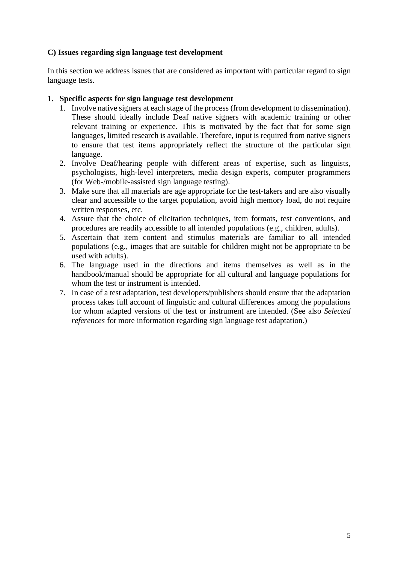# **C) Issues regarding sign language test development**

In this section we address issues that are considered as important with particular regard to sign language tests.

## **1. Specific aspects for sign language test development**

- 1. Involve native signers at each stage of the process (from development to dissemination). These should ideally include Deaf native signers with academic training or other relevant training or experience. This is motivated by the fact that for some sign languages, limited research is available. Therefore, input is required from native signers to ensure that test items appropriately reflect the structure of the particular sign language.
- 2. Involve Deaf/hearing people with different areas of expertise, such as linguists, psychologists, high-level interpreters, media design experts, computer programmers (for Web-/mobile-assisted sign language testing).
- 3. Make sure that all materials are age appropriate for the test-takers and are also visually clear and accessible to the target population, avoid high memory load, do not require written responses, etc.
- 4. Assure that the choice of elicitation techniques, item formats, test conventions, and procedures are readily accessible to all intended populations (e.g., children, adults).
- 5. Ascertain that item content and stimulus materials are familiar to all intended populations (e.g., images that are suitable for children might not be appropriate to be used with adults).
- 6. The language used in the directions and items themselves as well as in the handbook/manual should be appropriate for all cultural and language populations for whom the test or instrument is intended.
- 7. In case of a test adaptation, test developers/publishers should ensure that the adaptation process takes full account of linguistic and cultural differences among the populations for whom adapted versions of the test or instrument are intended. (See also *Selected references* for more information regarding sign language test adaptation.)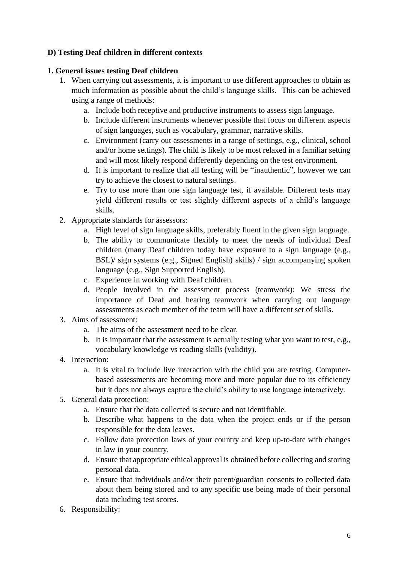# **D) Testing Deaf children in different contexts**

# **1. General issues testing Deaf children**

- 1. When carrying out assessments, it is important to use different approaches to obtain as much information as possible about the child's language skills. This can be achieved using a range of methods:
	- a. Include both receptive and productive instruments to assess sign language.
	- b. Include different instruments whenever possible that focus on different aspects of sign languages, such as vocabulary, grammar, narrative skills.
	- c. Environment (carry out assessments in a range of settings, e.g., clinical, school and/or home settings). The child is likely to be most relaxed in a familiar setting and will most likely respond differently depending on the test environment.
	- d. It is important to realize that all testing will be "inauthentic", however we can try to achieve the closest to natural settings.
	- e. Try to use more than one sign language test, if available. Different tests may yield different results or test slightly different aspects of a child's language skills.
- 2. Appropriate standards for assessors:
	- a. High level of sign language skills, preferably fluent in the given sign language.
	- b. The ability to communicate flexibly to meet the needs of individual Deaf children (many Deaf children today have exposure to a sign language (e.g., BSL)/ sign systems (e.g., Signed English) skills) / sign accompanying spoken language (e.g., Sign Supported English).
	- c. Experience in working with Deaf children.
	- d. People involved in the assessment process (teamwork): We stress the importance of Deaf and hearing teamwork when carrying out language assessments as each member of the team will have a different set of skills.
- 3. Aims of assessment:
	- a. The aims of the assessment need to be clear.
	- b. It is important that the assessment is actually testing what you want to test, e.g., vocabulary knowledge vs reading skills (validity).
- 4. Interaction:
	- a. It is vital to include live interaction with the child you are testing. Computerbased assessments are becoming more and more popular due to its efficiency but it does not always capture the child's ability to use language interactively.
- 5. General data protection:
	- a. Ensure that the data collected is secure and not identifiable.
	- b. Describe what happens to the data when the project ends or if the person responsible for the data leaves.
	- c. Follow data protection laws of your country and keep up-to-date with changes in law in your country.
	- d. Ensure that appropriate ethical approval is obtained before collecting and storing personal data.
	- e. Ensure that individuals and/or their parent/guardian consents to collected data about them being stored and to any specific use being made of their personal data including test scores.
- 6. Responsibility: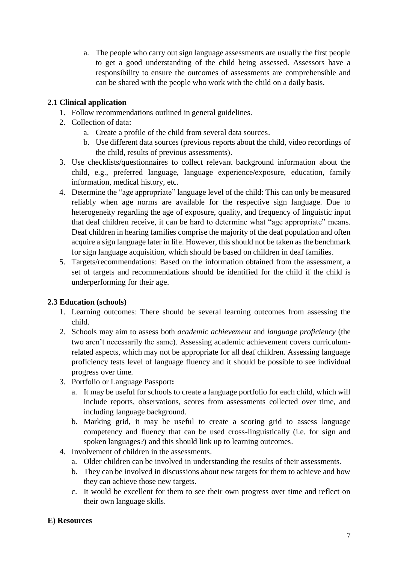a. The people who carry out sign language assessments are usually the first people to get a good understanding of the child being assessed. Assessors have a responsibility to ensure the outcomes of assessments are comprehensible and can be shared with the people who work with the child on a daily basis.

# **2.1 Clinical application**

- 1. Follow recommendations outlined in general guidelines.
- 2. Collection of data:
	- a. Create a profile of the child from several data sources.
	- b. Use different data sources (previous reports about the child, video recordings of the child, results of previous assessments).
- 3. Use checklists/questionnaires to collect relevant background information about the child, e.g., preferred language, language experience/exposure, education, family information, medical history, etc.
- 4. Determine the "age appropriate" language level of the child: This can only be measured reliably when age norms are available for the respective sign language. Due to heterogeneity regarding the age of exposure, quality, and frequency of linguistic input that deaf children receive, it can be hard to determine what "age appropriate" means. Deaf children in hearing families comprise the majority of the deaf population and often acquire a sign language later in life. However, this should not be taken as the benchmark for sign language acquisition, which should be based on children in deaf families.
- 5. Targets/recommendations: Based on the information obtained from the assessment, a set of targets and recommendations should be identified for the child if the child is underperforming for their age.

# **2.3 Education (schools)**

- 1. Learning outcomes: There should be several learning outcomes from assessing the child.
- 2. Schools may aim to assess both *academic achievement* and *language proficiency* (the two aren't necessarily the same). Assessing academic achievement covers curriculumrelated aspects, which may not be appropriate for all deaf children. Assessing language proficiency tests level of language fluency and it should be possible to see individual progress over time.
- 3. Portfolio or Language Passport**:**
	- a. It may be useful for schools to create a language portfolio for each child, which will include reports, observations, scores from assessments collected over time, and including language background.
	- b. Marking grid, it may be useful to create a scoring grid to assess language competency and fluency that can be used cross-linguistically (i.e. for sign and spoken languages?) and this should link up to learning outcomes.
- 4. Involvement of children in the assessments.
	- a. Older children can be involved in understanding the results of their assessments.
	- b. They can be involved in discussions about new targets for them to achieve and how they can achieve those new targets.
	- c. It would be excellent for them to see their own progress over time and reflect on their own language skills.

# **E) Resources**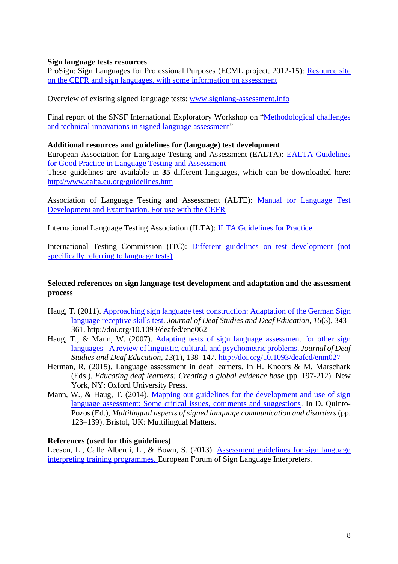#### **Sign language tests resources**

ProSign: Sign Languages for Professional Purposes (ECML project, 2012-15): [Resource site](http://www.ecml.at/ECML-Programme/Programme2012-2015/ProSign/Assessment/tabid/1766/Default.aspx)  [on the CEFR and sign languages, with some information on assessment](http://www.ecml.at/ECML-Programme/Programme2012-2015/ProSign/Assessment/tabid/1766/Default.aspx)

Overview of existing signed language tests: [www.signlang-assessment.info](http://www.signlang-assessment.info/)

Final report of the SNSF International Exploratory Workshop on ["Methodological challenges](https://www.researchgate.net/publication/292489964_Scientific_Report_of_the_SNSF-funded_International_Exploratory_Workshop_on_Methodological_Issues_and_Technical_Innovations_in_Signed_Language_Assessment)  [and technical innovations in signed language assessment"](https://www.researchgate.net/publication/292489964_Scientific_Report_of_the_SNSF-funded_International_Exploratory_Workshop_on_Methodological_Issues_and_Technical_Innovations_in_Signed_Language_Assessment)

#### **Additional resources and guidelines for (language) test development**

European Association for Language Testing and Assessment (EALTA): [EALTA Guidelines](http://www.ealta.eu.org/documents/archive/guidelines/English.pdf)  [for Good Practice in Language Testing and Assessment](http://www.ealta.eu.org/documents/archive/guidelines/English.pdf)

These guidelines are available in **35** different languages, which can be downloaded here: <http://www.ealta.eu.org/guidelines.htm>

Association of Language Testing and Assessment (ALTE): [Manual for Language Test](https://rm.coe.int/manual-for-language-test-development-and-examining-for-use-with-the-ce/1680667a2b)  [Development and Examination. For use with the CEFR](https://rm.coe.int/manual-for-language-test-development-and-examining-for-use-with-the-ce/1680667a2b)

International Language Testing Association (ILTA): [ILTA Guidelines for Practice](https://cdn.ymaws.com/www.iltaonline.com/resource/resmgr/docs/ilta_guidelines.pdf)

International Testing Commission (ITC): [Different guidelines on test development \(not](http://www.intestcom.org/page/5)  [specifically referring to language tests\)](http://www.intestcom.org/page/5)

#### **Selected references on sign language test development and adaptation and the assessment process**

- Haug, T. (2011). [Approaching sign language test construction: Adaptation of the German Sign](http://jdsde.oxfordjournals.org/content/16/3/343.full.pdf+html)  [language receptive skills test.](http://jdsde.oxfordjournals.org/content/16/3/343.full.pdf+html) *Journal of Deaf Studies and Deaf Education*, *16*(3), 343– 361. http://doi.org/10.1093/deafed/enq062
- Haug, T., & Mann, W. (2007). [Adapting tests of sign language assessment for other sign](http://jdsde.oxfordjournals.org/content/13/1/138.full.pdf+html)  languages - [A review of linguistic, cultural, and psychometric problems.](http://jdsde.oxfordjournals.org/content/13/1/138.full.pdf+html) *Journal of Deaf Studies and Deaf Education*, *13*(1), 138–147.<http://doi.org/10.1093/deafed/enm027>
- Herman, R. (2015). Language assessment in deaf learners. In H. Knoors & M. Marschark (Eds.), *Educating deaf learners: Creating a global evidence base* (pp. 197-212). New York, NY: Oxford University Press.
- Mann, W., & Haug, T. (2014). Mapping out guidelines for the development and use of sign [language assessment: Some critical issues, comments and suggestions.](https://www.researchgate.net/publication/272291982_Mapping_out_guidelines_for_the_development_and_use_of_sign_language_assessment_Some_critical_issues_comments_and_suggestions) In D. Quinto-Pozos (Ed.), *Multilingual aspects of signed language communication and disorders* (pp. 123–139). Bristol, UK: Multilingual Matters.

#### **References (used for this guidelines)**

Leeson, L., Calle Alberdi, L., & Bown, S. (2013). [Assessment guidelines for sign language](http://efsli.org/publications/shop/)  [interpreting training programmes.](http://efsli.org/publications/shop/) European Forum of Sign Language Interpreters.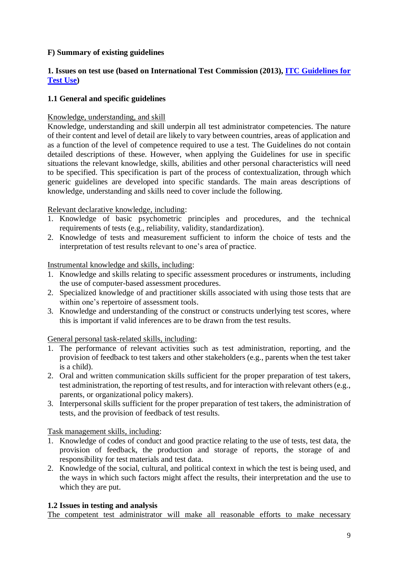# **F) Summary of existing guidelines**

# **1. Issues on test use (based on International Test Commission (2013), [ITC Guidelines for](http://www.intestcom.org/files/guideline_test_use.pdf)  [Test Use\)](http://www.intestcom.org/files/guideline_test_use.pdf)**

# **1.1 General and specific guidelines**

# Knowledge, understanding, and skill

Knowledge, understanding and skill underpin all test administrator competencies. The nature of their content and level of detail are likely to vary between countries, areas of application and as a function of the level of competence required to use a test. The Guidelines do not contain detailed descriptions of these. However, when applying the Guidelines for use in specific situations the relevant knowledge, skills, abilities and other personal characteristics will need to be specified. This specification is part of the process of contextualization, through which generic guidelines are developed into specific standards. The main areas descriptions of knowledge, understanding and skills need to cover include the following.

# Relevant declarative knowledge, including:

- 1. Knowledge of basic psychometric principles and procedures, and the technical requirements of tests (e.g., reliability, validity, standardization).
- 2. Knowledge of tests and measurement sufficient to inform the choice of tests and the interpretation of test results relevant to one's area of practice.

# Instrumental knowledge and skills, including:

- 1. Knowledge and skills relating to specific assessment procedures or instruments, including the use of computer-based assessment procedures.
- 2. Specialized knowledge of and practitioner skills associated with using those tests that are within one's repertoire of assessment tools.
- 3. Knowledge and understanding of the construct or constructs underlying test scores, where this is important if valid inferences are to be drawn from the test results.

# General personal task-related skills, including:

- 1. The performance of relevant activities such as test administration, reporting, and the provision of feedback to test takers and other stakeholders (e.g., parents when the test taker is a child).
- 2. Oral and written communication skills sufficient for the proper preparation of test takers, test administration, the reporting of test results, and for interaction with relevant others (e.g., parents, or organizational policy makers).
- 3. Interpersonal skills sufficient for the proper preparation of test takers, the administration of tests, and the provision of feedback of test results.

Task management skills, including:

- 1. Knowledge of codes of conduct and good practice relating to the use of tests, test data, the provision of feedback, the production and storage of reports, the storage of and responsibility for test materials and test data.
- 2. Knowledge of the social, cultural, and political context in which the test is being used, and the ways in which such factors might affect the results, their interpretation and the use to which they are put.

# **1.2 Issues in testing and analysis**

The competent test administrator will make all reasonable efforts to make necessary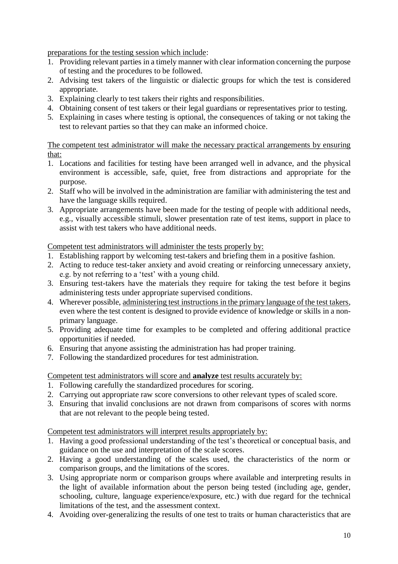preparations for the testing session which include:

- 1. Providing relevant parties in a timely manner with clear information concerning the purpose of testing and the procedures to be followed.
- 2. Advising test takers of the linguistic or dialectic groups for which the test is considered appropriate.
- 3. Explaining clearly to test takers their rights and responsibilities.
- 4. Obtaining consent of test takers or their legal guardians or representatives prior to testing.
- 5. Explaining in cases where testing is optional, the consequences of taking or not taking the test to relevant parties so that they can make an informed choice.

The competent test administrator will make the necessary practical arrangements by ensuring that:

- 1. Locations and facilities for testing have been arranged well in advance, and the physical environment is accessible, safe, quiet, free from distractions and appropriate for the purpose.
- 2. Staff who will be involved in the administration are familiar with administering the test and have the language skills required.
- 3. Appropriate arrangements have been made for the testing of people with additional needs, e.g., visually accessible stimuli, slower presentation rate of test items, support in place to assist with test takers who have additional needs.

Competent test administrators will administer the tests properly by:

- 1. Establishing rapport by welcoming test-takers and briefing them in a positive fashion.
- 2. Acting to reduce test-taker anxiety and avoid creating or reinforcing unnecessary anxiety, e.g. by not referring to a 'test' with a young child.
- 3. Ensuring test-takers have the materials they require for taking the test before it begins administering tests under appropriate supervised conditions.
- 4. Wherever possible, administering test instructions in the primary language of the test takers, even where the test content is designed to provide evidence of knowledge or skills in a nonprimary language.
- 5. Providing adequate time for examples to be completed and offering additional practice opportunities if needed.
- 6. Ensuring that anyone assisting the administration has had proper training.
- 7. Following the standardized procedures for test administration.

Competent test administrators will score and **analyze** test results accurately by:

- 1. Following carefully the standardized procedures for scoring.
- 2. Carrying out appropriate raw score conversions to other relevant types of scaled score.
- 3. Ensuring that invalid conclusions are not drawn from comparisons of scores with norms that are not relevant to the people being tested.

Competent test administrators will interpret results appropriately by:

- 1. Having a good professional understanding of the test's theoretical or conceptual basis, and guidance on the use and interpretation of the scale scores.
- 2. Having a good understanding of the scales used, the characteristics of the norm or comparison groups, and the limitations of the scores.
- 3. Using appropriate norm or comparison groups where available and interpreting results in the light of available information about the person being tested (including age, gender, schooling, culture, language experience/exposure, etc.) with due regard for the technical limitations of the test, and the assessment context.
- 4. Avoiding over-generalizing the results of one test to traits or human characteristics that are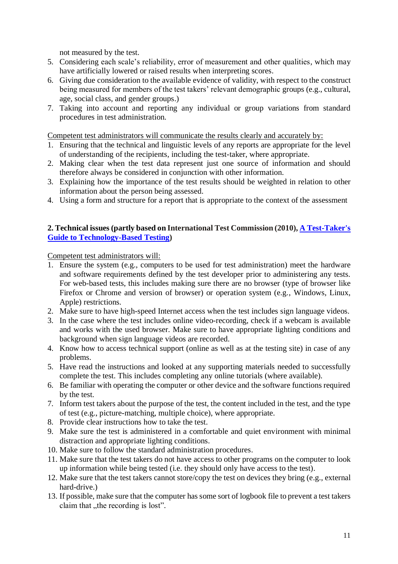not measured by the test.

- 5. Considering each scale's reliability, error of measurement and other qualities, which may have artificially lowered or raised results when interpreting scores.
- 6. Giving due consideration to the available evidence of validity, with respect to the construct being measured for members of the test takers' relevant demographic groups (e.g., cultural, age, social class, and gender groups.)
- 7. Taking into account and reporting any individual or group variations from standard procedures in test administration.

Competent test administrators will communicate the results clearly and accurately by:

- 1. Ensuring that the technical and linguistic levels of any reports are appropriate for the level of understanding of the recipients, including the test-taker, where appropriate.
- 2. Making clear when the test data represent just one source of information and should therefore always be considered in conjunction with other information.
- 3. Explaining how the importance of the test results should be weighted in relation to other information about the person being assessed.
- 4. Using a form and structure for a report that is appropriate to the context of the assessment

## **2. Technical issues (partly based on International Test Commission (2010), [A Test-Taker's](http://www.intestcom.org/files/test_taker_guide_brochure.pdf)  [Guide to Technology-Based Testing\)](http://www.intestcom.org/files/test_taker_guide_brochure.pdf)**

Competent test administrators will:

- 1. Ensure the system (e.g., computers to be used for test administration) meet the hardware and software requirements defined by the test developer prior to administering any tests. For web-based tests, this includes making sure there are no browser (type of browser like Firefox or Chrome and version of browser) or operation system (e.g., Windows, Linux, Apple) restrictions.
- 2. Make sure to have high-speed Internet access when the test includes sign language videos.
- 3. In the case where the test includes online video-recording, check if a webcam is available and works with the used browser. Make sure to have appropriate lighting conditions and background when sign language videos are recorded.
- 4. Know how to access technical support (online as well as at the testing site) in case of any problems.
- 5. Have read the instructions and looked at any supporting materials needed to successfully complete the test. This includes completing any online tutorials (where available).
- 6. Be familiar with operating the computer or other device and the software functions required by the test.
- 7. Inform test takers about the purpose of the test, the content included in the test, and the type of test (e.g., picture-matching, multiple choice), where appropriate.
- 8. Provide clear instructions how to take the test.
- 9. Make sure the test is administered in a comfortable and quiet environment with minimal distraction and appropriate lighting conditions.
- 10. Make sure to follow the standard administration procedures.
- 11. Make sure that the test takers do not have access to other programs on the computer to look up information while being tested (i.e. they should only have access to the test).
- 12. Make sure that the test takers cannot store/copy the test on devices they bring (e.g., external hard-drive.)
- 13. If possible, make sure that the computer has some sort of logbook file to prevent a test takers claim that , the recording is lost".